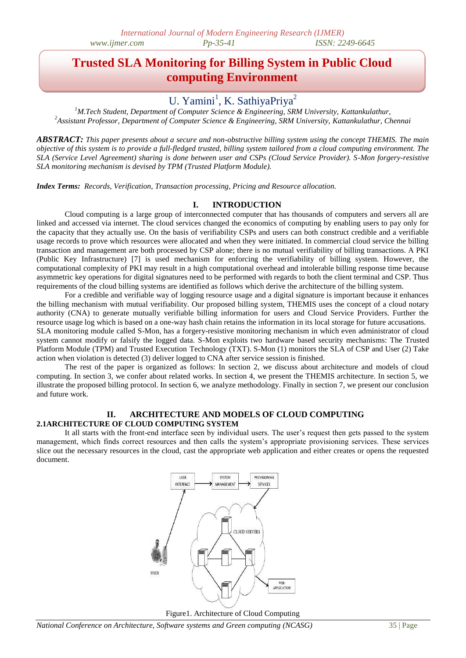# **Trusted SLA Monitoring for Billing System in Public Cloud computing Environment**

# U. Yamini<sup>1</sup>, K. SathiyaPriya<sup>2</sup>

*<sup>1</sup>M.Tech Student, Department of Computer Science & Engineering, SRM University, Kattankulathur, <sup>2</sup>Assistant Professor, Department of Computer Science & Engineering, SRM University, Kattankulathur, Chennai*

*ABSTRACT: This paper presents about a secure and non-obstructive billing system using the concept THEMIS. The main objective of this system is to provide a full-fledged trusted, billing system tailored from a cloud computing environment. The SLA (Service Level Agreement) sharing is done between user and CSPs (Cloud Service Provider). S-Mon forgery-resistive SLA monitoring mechanism is devised by TPM (Trusted Platform Module).*

*Index Terms: Records, Verification, Transaction processing, Pricing and Resource allocation.*

# **I. INTRODUCTION**

Cloud computing is a large group of interconnected computer that has thousands of computers and servers all are linked and accessed via internet. The cloud services changed the economics of computing by enabling users to pay only for the capacity that they actually use. On the basis of verifiability CSPs and users can both construct credible and a verifiable usage records to prove which resources were allocated and when they were initiated. In commercial cloud service the billing transaction and management are both processed by CSP alone; there is no mutual verifiability of billing transactions. A PKI (Public Key Infrastructure) [7] is used mechanism for enforcing the verifiability of billing system. However, the computational complexity of PKI may result in a high computational overhead and intolerable billing response time because asymmetric key operations for digital signatures need to be performed with regards to both the client terminal and CSP. Thus requirements of the cloud billing systems are identified as follows which derive the architecture of the billing system.

For a credible and verifiable way of logging resource usage and a digital signature is important because it enhances the billing mechanism with mutual verifiability. Our proposed billing system, THEMIS uses the concept of a cloud notary authority (CNA) to generate mutually verifiable billing information for users and Cloud Service Providers. Further the resource usage log which is based on a one-way hash chain retains the information in its local storage for future accusations. SLA monitoring module called S-Mon, has a forgery-resistive monitoring mechanism in which even administrator of cloud system cannot modify or falsify the logged data. S-Mon exploits two hardware based security mechanisms: The Trusted Platform Module (TPM) and Trusted Execution Technology (TXT). S-Mon (1) monitors the SLA of CSP and User (2) Take action when violation is detected (3) deliver logged to CNA after service session is finished.

The rest of the paper is organized as follows: In section 2, we discuss about architecture and models of cloud computing. In section 3, we confer about related works. In section 4, we present the THEMIS architecture. In section 5, we illustrate the proposed billing protocol. In section 6, we analyze methodology. Finally in section 7, we present our conclusion and future work.

## **II. ARCHITECTURE AND MODELS OF CLOUD COMPUTING 2.1ARCHITECTURE OF CLOUD COMPUTING SYSTEM**

It all starts with the front-end interface seen by individual users. The user's request then gets passed to the system management, which finds correct resources and then calls the system's appropriate provisioning services. These services slice out the necessary resources in the cloud, cast the appropriate web application and either creates or opens the requested document.



Figure1. Architecture of Cloud Computing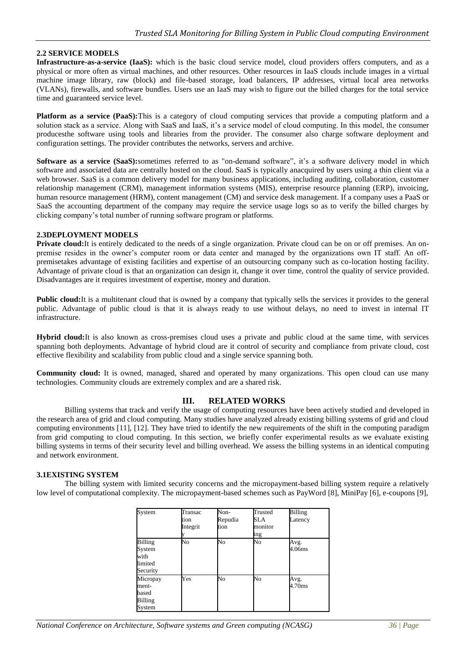# **2.2 SERVICE MODELS**

**Infrastructure-as-a-service (IaaS):** which is the basic cloud service model, cloud providers offers computers, and as a physical or more often as virtual machines, and other resources. Other resources in IaaS clouds include images in a virtual machine image library, raw (block) and file-based storage, load balancers, IP addresses, virtual local area networks (VLANs), firewalls, and software bundles. Users use an IaaS may wish to figure out the billed charges for the total service time and guaranteed service level.

**Platform as a service (PaaS):**This is a category of cloud computing services that provide a computing platform and a solution stack as a service. Along with SaaS and IaaS, it's a service model of cloud computing. In this model, the consumer producesthe software using tools and libraries from the provider. The consumer also charge software deployment and configuration settings. The provider contributes the networks, servers and archive.

**Software as a service (SaaS):**sometimes referred to as "on-demand software", it's a software delivery model in which software and associated data are centrally hosted on the cloud. SaaS is typically anacquired by users using a thin client via a web browser. SaaS is a common delivery model for many business applications, including auditing, collaboration, customer relationship management (CRM), management information systems (MIS), enterprise resource planning (ERP), invoicing, human resource management (HRM), content management (CM) and service desk management. If a company uses a PaaS or SaaS the accounting department of the company may require the service usage logs so as to verify the billed charges by clicking company's total number of running software program or platforms.

# **2.3DEPLOYMENT MODELS**

**Private cloud:**It is entirely dedicated to the needs of a single organization. Private cloud can be on or off premises. An onpremise resides in the owner's computer room or data center and managed by the organizations own IT staff. An offpremisetakes advantage of existing facilities and expertise of an outsourcing company such as co-location hosting facility. Advantage of private cloud is that an organization can design it, change it over time, control the quality of service provided. Disadvantages are it requires investment of expertise, money and duration.

**Public cloud:**It is a multitenant cloud that is owned by a company that typically sells the services it provides to the general public. Advantage of public cloud is that it is always ready to use without delays, no need to invest in internal IT infrastructure.

**Hybrid cloud:**It is also known as cross-premises cloud uses a private and public cloud at the same time, with services spanning both deployments. Advantage of hybrid cloud are it control of security and compliance from private cloud, cost effective flexibility and scalability from public cloud and a single service spanning both.

**Community cloud:** It is owned, managed, shared and operated by many organizations. This open cloud can use many technologies. Community clouds are extremely complex and are a shared risk.

# **III. RELATED WORKS**

Billing systems that track and verify the usage of computing resources have been actively studied and developed in the research area of grid and cloud computing. Many studies have analyzed already existing billing systems of grid and cloud computing environments [11], [12]. They have tried to identify the new requirements of the shift in the computing paradigm from grid computing to cloud computing. In this section, we briefly confer experimental results as we evaluate existing billing systems in terms of their security level and billing overhead. We assess the billing systems in an identical computing and network environment.

# **3.1EXISTING SYSTEM**

The billing system with limited security concerns and the micropayment-based billing system require a relatively low level of computational complexity. The micropayment-based schemes such as PayWord [8], MiniPay [6], e-coupons [9],

| System                                                  | Transac<br>tion<br>Integrit | Non-<br>Repudia<br>tion | Trusted<br>SLA<br>monitor<br>ing | <b>Billing</b><br>Latency |
|---------------------------------------------------------|-----------------------------|-------------------------|----------------------------------|---------------------------|
| <b>Billing</b><br>System<br>with<br>limited<br>Security | No                          | No                      | No                               | Avg.<br>4.06ms            |
| Micropay<br>ment-<br>based<br>Billing<br>System         | Yes                         | No                      | No                               | Avg.<br>4.70ms            |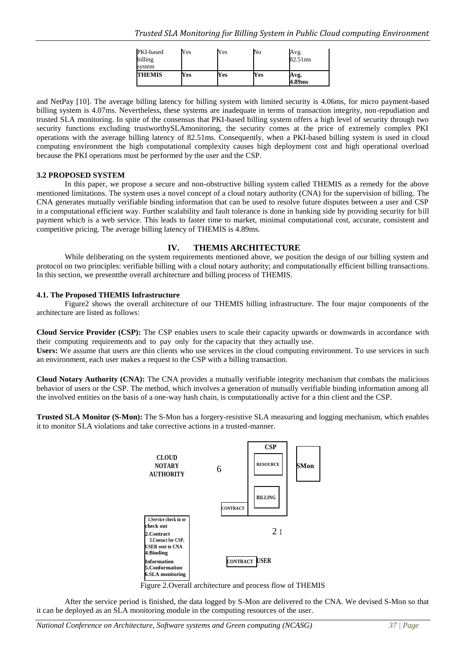| PKI-based<br>billing<br>svstem | Yes | Yes | No  | Avg.<br>82.51ms |
|--------------------------------|-----|-----|-----|-----------------|
| <b>THEMIS</b>                  | Yes | Yes | Yes | Avg.<br>4.89ms  |

and NetPay [10]. The average billing latency for billing system with limited security is 4.06ms, for micro payment-based billing system is 4.07ms. Nevertheless, these systems are inadequate in terms of transaction integrity, non-repudiation and trusted SLA monitoring. In spite of the consensus that PKI-based billing system offers a high level of security through two security functions excluding trustworthySLAmonitoring, the security comes at the price of extremely complex PKI operations with the average billing latency of 82.51ms. Consequently, when a PKI-based billing system is used in cloud computing environment the high computational complexity causes high deployment cost and high operational overload because the PKI operations must be performed by the user and the CSP.

## **3.2 PROPOSED SYSTEM**

In this paper, we propose a secure and non-obstructive billing system called THEMIS as a remedy for the above mentioned limitations. The system uses a novel concept of a cloud notary authority (CNA) for the supervision of billing. The CNA generates mutually verifiable binding information that can be used to resolve future disputes between a user and CSP in a computational efficient way. Further scalability and fault tolerance is done in banking side by providing security for bill payment which is a web service. This leads to faster time to market, minimal computational cost, accurate, consistent and competitive pricing. The average billing latency of THEMIS is 4.89ms.

# **IV. THEMIS ARCHITECTURE**

While deliberating on the system requirements mentioned above, we position the design of our billing system and protocol on two principles: verifiable billing with a cloud notary authority; and computationally efficient billing transactions. In this section, we presentthe overall architecture and billing process of THEMIS.

# **4.1. The Proposed THEMIS Infrastructure**

Figure2 shows the overall architecture of our THEMIS billing infrastructure. The four major components of the architecture are listed as follows:

**Cloud Service Provider (CSP):** The CSP enables users to scale their capacity upwards or downwards in accordance with their computing requirements and to pay only for the capacity that they actually use.

**Users:** We assume that users are thin clients who use services in the cloud computing environment. To use services in such an environment, each user makes a request to the CSP with a billing transaction.

**Cloud Notary Authority (CNA):** The CNA provides a mutually verifiable integrity mechanism that combats the malicious behavior of users or the CSP. The method, which involves a generation of mutually verifiable binding information among all the involved entities on the basis of a one-way hash chain, is computationally active for a thin client and the CSP.

**Trusted SLA Monitor (S-Mon):** The S-Mon has a forgery-resistive SLA measuring and logging mechanism, which enables it to monitor SLA violations and take corrective actions in a trusted-manner.



Figure 2.Overall architecture and process flow of THEMIS

After the service period is finished, the data logged by S-Mon are delivered to the CNA. We devised S-Mon so that it can be deployed as an SLA monitoring module in the computing resources of the user.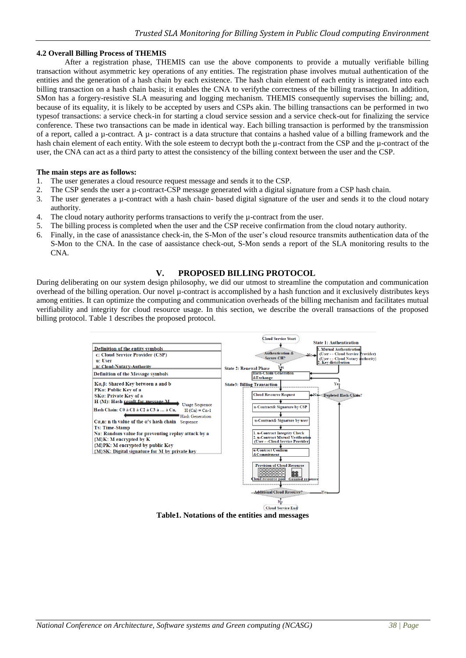# **4.2 Overall Billing Process of THEMIS**

After a registration phase, THEMIS can use the above components to provide a mutually verifiable billing transaction without asymmetric key operations of any entities. The registration phase involves mutual authentication of the entities and the generation of a hash chain by each existence. The hash chain element of each entity is integrated into each billing transaction on a hash chain basis; it enables the CNA to verifythe correctness of the billing transaction. In addition, SMon has a forgery-resistive SLA measuring and logging mechanism. THEMIS consequently supervises the billing; and, because of its equality, it is likely to be accepted by users and CSPs akin. The billing transactions can be performed in two typesof transactions: a service check-in for starting a cloud service session and a service check-out for finalizing the service conference. These two transactions can be made in identical way. Each billing transaction is performed by the transmission of a report, called a µ-contract. A µ- contract is a data structure that contains a hashed value of a billing framework and the hash chain element of each entity. With the sole esteem to decrypt both the  $\mu$ -contract from the CSP and the  $\mu$ -contract of the user, the CNA can act as a third party to attest the consistency of the billing context between the user and the CSP.

## **The main steps are as follows:**

- 1. The user generates a cloud resource request message and sends it to the CSP.
- 2. The CSP sends the user a µ-contract-CSP message generated with a digital signature from a CSP hash chain.
- 3. The user generates a  $\mu$ -contract with a hash chain- based digital signature of the user and sends it to the cloud notary authority.
- 4. The cloud notary authority performs transactions to verify the µ-contract from the user.
- 5. The billing process is completed when the user and the CSP receive confirmation from the cloud notary authority.
- 6. Finally, in the case of anassistance check-in, the S-Mon of the user's cloud resource transmits authentication data of the S-Mon to the CNA. In the case of aassistance check-out, S-Mon sends a report of the SLA monitoring results to the CNA.

# **V. PROPOSED BILLING PROTOCOL**

During deliberating on our system design philosophy, we did our utmost to streamline the computation and communication overhead of the billing operation. Our novel µ-contract is accomplished by a hash function and it exclusively distributes keys among entities. It can optimize the computing and communication overheads of the billing mechanism and facilitates mutual verifiability and integrity for cloud resource usage. In this section, we describe the overall transactions of the proposed billing protocol. Table 1 describes the proposed protocol.



**Table1. Notations of the entities and messages**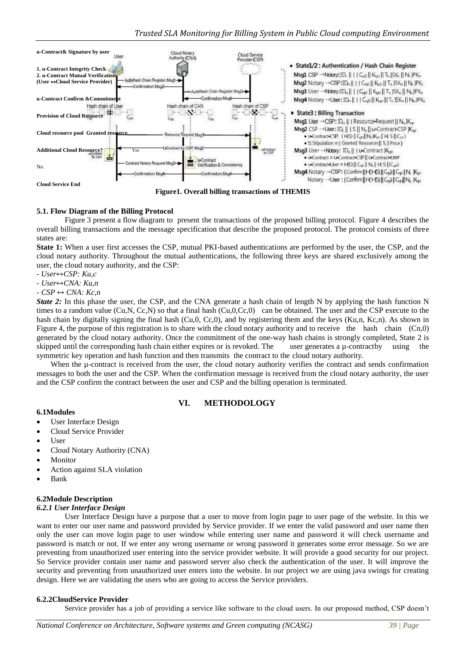

**Figure1. Overall billing transactions of THEMIS**

# **5.1. Flow Diagram of the Billing Protocol**

Figure 3 present a flow diagram to present the transactions of the proposed billing protocol. Figure 4 describes the overall billing transactions and the message specification that describe the proposed protocol. The protocol consists of three states are:

**State 1:** When a user first accesses the CSP, mutual PKI-based authentications are performed by the user, the CSP, and the cloud notary authority. Throughout the mutual authentications, the following three keys are shared exclusively among the user, the cloud notary authority, and the CSP:

- *- User*↔*CSP: Ku,c*
- *User*↔*CNA: Ku,n*

 $\text{-} CSP \leftrightarrow \text{CNA}: Kc.n$ 

*State 2:* In this phase the user, the CSP, and the CNA generate a hash chain of length N by applying the hash function N times to a random value  $(Cu, N, Cc, N)$  so that a final hash  $(Cu, 0, Cc, 0)$  can be obtained. The user and the CSP execute to the hash chain by digitally signing the final hash (Cu,0, Cc,0), and by registering them and the keys (Ku,n, Kc,n). As shown in Figure 4, the purpose of this registration is to share with the cloud notary authority and to receive the hash chain (Cn,0) generated by the cloud notary authority. Once the commitment of the one-way hash chains is strongly completed, State 2 is skipped until the corresponding hash chain either expires or is revoked. The user generates a  $\mu$ -contractby using the symmetric key operation and hash function and then transmits the contract to the cloud notary authority.

When the u-contract is received from the user, the cloud notary authority verifies the contract and sends confirmation messages to both the user and the CSP. When the confirmation message is received from the cloud notary authority, the user and the CSP confirm the contract between the user and CSP and the billing operation is terminated.

# **VI. METHODOLOGY**

- **6.1Modules**
- User Interface Design
- Cloud Service Provider
- **User**
- Cloud Notary Authority (CNA)
- Monitor
- Action against SLA violation
- Bank

# **6.2Module Description**

## *6.2.1 User Interface Design*

User Interface Design have a purpose that a user to move from login page to user page of the website. In this we want to enter our user name and password provided by Service provider. If we enter the valid password and user name then only the user can move login page to user window while entering user name and password it will check username and password is match or not. If we enter any wrong username or wrong password it generates some error message. So we are preventing from unauthorized user entering into the service provider website. It will provide a good security for our project. So Service provider contain user name and password server also check the authentication of the user. It will improve the security and preventing from unauthorized user enters into the website. In our project we are using java swings for creating design. Here we are validating the users who are going to access the Service providers.

## **6.2.2CloudService Provider**

Service provider has a job of providing a service like software to the cloud users. In our proposed method, CSP doesn't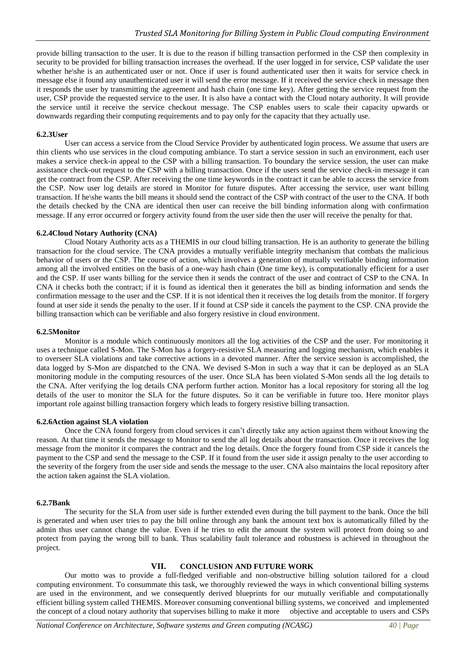provide billing transaction to the user. It is due to the reason if billing transaction performed in the CSP then complexity in security to be provided for billing transaction increases the overhead. If the user logged in for service, CSP validate the user whether he\she is an authenticated user or not. Once if user is found authenticated user then it waits for service check in message else it found any unauthenticated user it will send the error message. If it received the service check in message then it responds the user by transmitting the agreement and hash chain (one time key). After getting the service request from the user, CSP provide the requested service to the user. It is also have a contact with the Cloud notary authority. It will provide the service until it receive the service checkout message. The CSP enables users to scale their capacity upwards or downwards regarding their computing requirements and to pay only for the capacity that they actually use.

# **6.2.3User**

User can access a service from the Cloud Service Provider by authenticated login process. We assume that users are thin clients who use services in the cloud computing ambiance. To start a service session in such an environment, each user makes a service check-in appeal to the CSP with a billing transaction. To boundary the service session, the user can make assistance check-out request to the CSP with a billing transaction. Once if the users send the service check-in message it can get the contract from the CSP. After receiving the one time keywords in the contract it can be able to access the service from the CSP. Now user log details are stored in Monitor for future disputes. After accessing the service, user want billing transaction. If he\she wants the bill means it should send the contract of the CSP with contract of the user to the CNA. If both the details checked by the CNA are identical then user can receive the bill binding information along with confirmation message. If any error occurred or forgery activity found from the user side then the user will receive the penalty for that.

## **6.2.4Cloud Notary Authority (CNA)**

Cloud Notary Authority acts as a THEMIS in our cloud billing transaction. He is an authority to generate the billing transaction for the cloud service. The CNA provides a mutually verifiable integrity mechanism that combats the malicious behavior of users or the CSP. The course of action, which involves a generation of mutually verifiable binding information among all the involved entities on the basis of a one-way hash chain (One time key), is computationally efficient for a user and the CSP. If user wants billing for the service then it sends the contract of the user and contract of CSP to the CNA. In CNA it checks both the contract; if it is found as identical then it generates the bill as binding information and sends the confirmation message to the user and the CSP. If it is not identical then it receives the log details from the monitor. If forgery found at user side it sends the penalty to the user. If it found at CSP side it cancels the payment to the CSP. CNA provide the billing transaction which can be verifiable and also forgery resistive in cloud environment.

## **6.2.5Monitor**

Monitor is a module which continuously monitors all the log activities of the CSP and the user. For monitoring it uses a technique called S-Mon. The S-Mon has a forgery-resistive SLA measuring and logging mechanism, which enables it to overseer SLA violations and take corrective actions in a devoted manner. After the service session is accomplished, the data logged by S-Mon are dispatched to the CNA. We devised S-Mon in such a way that it can be deployed as an SLA monitoring module in the computing resources of the user. Once SLA has been violated S-Mon sends all the log details to the CNA. After verifying the log details CNA perform further action. Monitor has a local repository for storing all the log details of the user to monitor the SLA for the future disputes. So it can be verifiable in future too. Here monitor plays important role against billing transaction forgery which leads to forgery resistive billing transaction.

## **6.2.6Action against SLA violation**

Once the CNA found forgery from cloud services it can't directly take any action against them without knowing the reason. At that time it sends the message to Monitor to send the all log details about the transaction. Once it receives the log message from the monitor it compares the contract and the log details. Once the forgery found from CSP side it cancels the payment to the CSP and send the message to the CSP. If it found from the user side it assign penalty to the user according to the severity of the forgery from the user side and sends the message to the user. CNA also maintains the local repository after the action taken against the SLA violation.

## **6.2.7Bank**

The security for the SLA from user side is further extended even during the bill payment to the bank. Once the bill is generated and when user tries to pay the bill online through any bank the amount text box is automatically filled by the admin thus user cannot change the value. Even if he tries to edit the amount the system will protect from doing so and protect from paying the wrong bill to bank. Thus scalability fault tolerance and robustness is achieved in throughout the project.

# **VII. CONCLUSION AND FUTURE WORK**

Our motto was to provide a full-fledged verifiable and non-obstructive billing solution tailored for a cloud computing environment. To consummate this task, we thoroughly reviewed the ways in which conventional billing systems are used in the environment, and we consequently derived blueprints for our mutually verifiable and computationally efficient billing system called THEMIS. Moreover consuming conventional billing systems, we conceived and implemented the concept of a cloud notary authority that supervises billing to make it more objective and acceptable to users and CSPs